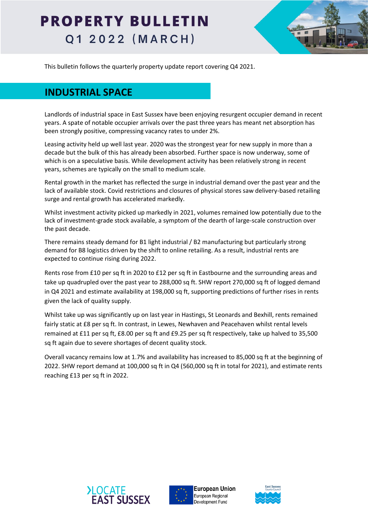

This bulletin follows the quarterly property update report covering Q4 2021.

### **INDUSTRIAL SPACE**

Landlords of industrial space in East Sussex have been enjoying resurgent occupier demand in recent years. A spate of notable occupier arrivals over the past three years has meant net absorption has been strongly positive, compressing vacancy rates to under 2%.

Leasing activity held up well last year. 2020 was the strongest year for new supply in more than a decade but the bulk of this has already been absorbed. Further space is now underway, some of which is on a speculative basis. While development activity has been relatively strong in recent years, schemes are typically on the small to medium scale.

Rental growth in the market has reflected the surge in industrial demand over the past year and the lack of available stock. Covid restrictions and closures of physical stores saw delivery-based retailing surge and rental growth has accelerated markedly.

Whilst investment activity picked up markedly in 2021, volumes remained low potentially due to the lack of investment-grade stock available, a symptom of the dearth of large-scale construction over the past decade.

There remains steady demand for B1 light industrial / B2 manufacturing but particularly strong demand for B8 logistics driven by the shift to online retailing. As a result, industrial rents are expected to continue rising during 2022.

Rents rose from £10 per sq ft in 2020 to £12 per sq ft in Eastbourne and the surrounding areas and take up quadrupled over the past year to 288,000 sq ft. SHW report 270,000 sq ft of logged demand in Q4 2021 and estimate availability at 198,000 sq ft, supporting predictions of further rises in rents given the lack of quality supply.

Whilst take up was significantly up on last year in Hastings, St Leonards and Bexhill, rents remained fairly static at £8 per sq ft. In contrast, in Lewes, Newhaven and Peacehaven whilst rental levels remained at £11 per sq ft, £8.00 per sq ft and £9.25 per sq ft respectively, take up halved to 35,500 sq ft again due to severe shortages of decent quality stock.

Overall vacancy remains low at 1.7% and availability has increased to 85,000 sq ft at the beginning of 2022. SHW report demand at 100,000 sq ft in Q4 (560,000 sq ft in total for 2021), and estimate rents reaching £13 per sq ft in 2022.





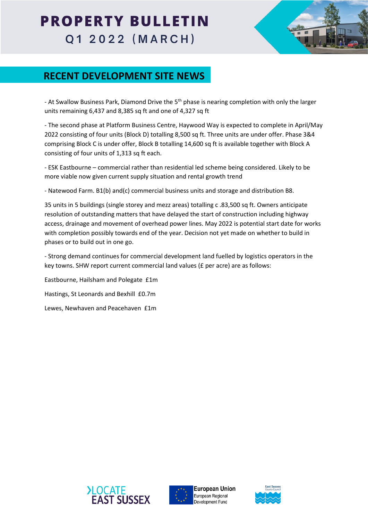

### **RECENT DEVELOPMENT SITE NEWS**

- At Swallow Business Park, Diamond Drive the 5<sup>th</sup> phase is nearing completion with only the larger units remaining 6,437 and 8,385 sq ft and one of 4,327 sq ft

- The second phase at Platform Business Centre, Haywood Way is expected to complete in April/May 2022 consisting of four units (Block D) totalling 8,500 sq ft. Three units are under offer. Phase 3&4 comprising Block C is under offer, Block B totalling 14,600 sq ft is available together with Block A consisting of four units of 1,313 sq ft each.

- ESK Eastbourne – commercial rather than residential led scheme being considered. Likely to be more viable now given current supply situation and rental growth trend

- Natewood Farm. B1(b) and(c) commercial business units and storage and distribution B8.

35 units in 5 buildings (single storey and mezz areas) totalling c .83,500 sq ft. Owners anticipate resolution of outstanding matters that have delayed the start of construction including highway access, drainage and movement of overhead power lines. May 2022 is potential start date for works with completion possibly towards end of the year. Decision not yet made on whether to build in phases or to build out in one go.

- Strong demand continues for commercial development land fuelled by logistics operators in the key towns. SHW report current commercial land values (£ per acre) are as follows:

Eastbourne, Hailsham and Polegate £1m Hastings, St Leonards and Bexhill £0.7m

Lewes, Newhaven and Peacehaven £1m





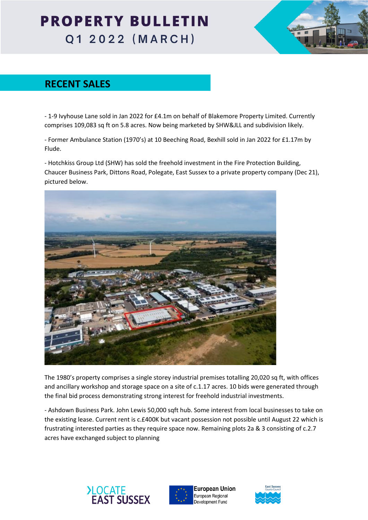

### **RECENT SALES**

- 1-9 Ivyhouse Lane sold in Jan 2022 for £4.1m on behalf of Blakemore Property Limited. Currently comprises 109,083 sq ft on 5.8 acres. Now being marketed by SHW&JLL and subdivision likely.

- Former Ambulance Station (1970's) at 10 Beeching Road, Bexhill sold in Jan 2022 for £1.17m by Flude.

- Hotchkiss Group Ltd (SHW) has sold the freehold investment in the Fire Protection Building, Chaucer Business Park, Dittons Road, Polegate, East Sussex to a private property company (Dec 21), pictured below.



The 1980's property comprises a single storey industrial premises totalling 20,020 sq ft, with offices and ancillary workshop and storage space on a site of c.1.17 acres. 10 bids were generated through the final bid process demonstrating strong interest for freehold industrial investments.

- Ashdown Business Park. John Lewis 50,000 sqft hub. Some interest from local businesses to take on the existing lease. Current rent is c.£400K but vacant possession not possible until August 22 which is frustrating interested parties as they require space now. Remaining plots 2a & 3 consisting of c.2.7 acres have exchanged subject to planning





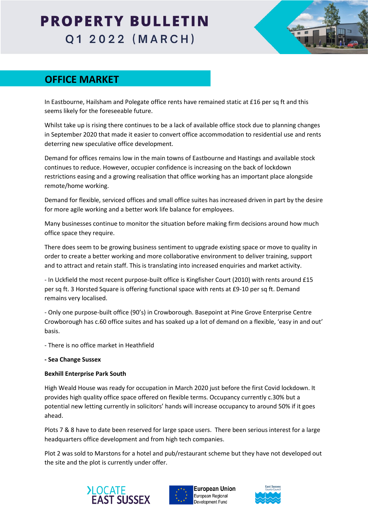

### **OFFICE MARKET**

In Eastbourne, Hailsham and Polegate office rents have remained static at £16 per sq ft and this seems likely for the foreseeable future.

Whilst take up is rising there continues to be a lack of available office stock due to planning changes in September 2020 that made it easier to convert office accommodation to residential use and rents deterring new speculative office development.

Demand for offices remains low in the main towns of Eastbourne and Hastings and available stock continues to reduce. However, occupier confidence is increasing on the back of lockdown restrictions easing and a growing realisation that office working has an important place alongside remote/home working.

Demand for flexible, serviced offices and small office suites has increased driven in part by the desire for more agile working and a better work life balance for employees.

Many businesses continue to monitor the situation before making firm decisions around how much office space they require.

There does seem to be growing business sentiment to upgrade existing space or move to quality in order to create a better working and more collaborative environment to deliver training, support and to attract and retain staff. This is translating into increased enquiries and market activity.

- In Uckfield the most recent purpose-built office is Kingfisher Court (2010) with rents around £15 per sq ft. 3 Horsted Square is offering functional space with rents at £9-10 per sq ft. Demand remains very localised.

- Only one purpose-built office (90's) in Crowborough. Basepoint at Pine Grove Enterprise Centre Crowborough has c.60 office suites and has soaked up a lot of demand on a flexible, 'easy in and out' basis.

- There is no office market in Heathfield

**- Sea Change Sussex**

#### **Bexhill Enterprise Park South**

High Weald House was ready for occupation in March 2020 just before the first Covid lockdown. It provides high quality office space offered on flexible terms. Occupancy currently c.30% but a potential new letting currently in solicitors' hands will increase occupancy to around 50% if it goes ahead.

Plots 7 & 8 have to date been reserved for large space users. There been serious interest for a large headquarters office development and from high tech companies.

Plot 2 was sold to Marstons for a hotel and pub/restaurant scheme but they have not developed out the site and the plot is currently under offer.





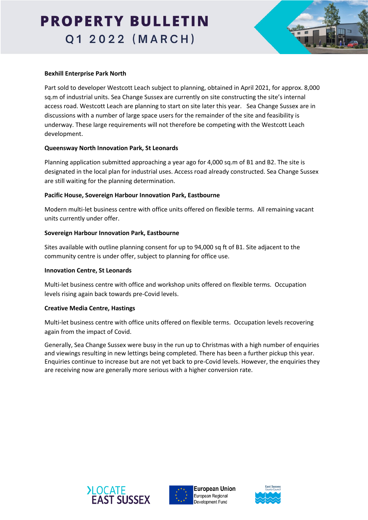

#### **Bexhill Enterprise Park North**

Part sold to developer Westcott Leach subject to planning, obtained in April 2021, for approx. 8,000 sq.m of industrial units. Sea Change Sussex are currently on site constructing the site's internal access road. Westcott Leach are planning to start on site later this year. Sea Change Sussex are in discussions with a number of large space users for the remainder of the site and feasibility is underway. These large requirements will not therefore be competing with the Westcott Leach development.

#### **Queensway North Innovation Park, St Leonards**

Planning application submitted approaching a year ago for 4,000 sq.m of B1 and B2. The site is designated in the local plan for industrial uses. Access road already constructed. Sea Change Sussex are still waiting for the planning determination.

#### **Pacific House, Sovereign Harbour Innovation Park, Eastbourne**

Modern multi-let business centre with office units offered on flexible terms. All remaining vacant units currently under offer.

#### **Sovereign Harbour Innovation Park, Eastbourne**

Sites available with outline planning consent for up to 94,000 sq ft of B1. Site adjacent to the community centre is under offer, subject to planning for office use.

#### **Innovation Centre, St Leonards**

Multi-let business centre with office and workshop units offered on flexible terms. Occupation levels rising again back towards pre-Covid levels.

#### **Creative Media Centre, Hastings**

Multi-let business centre with office units offered on flexible terms. Occupation levels recovering again from the impact of Covid.

Generally, Sea Change Sussex were busy in the run up to Christmas with a high number of enquiries and viewings resulting in new lettings being completed. There has been a further pickup this year. Enquiries continue to increase but are not yet back to pre-Covid levels. However, the enquiries they are receiving now are generally more serious with a higher conversion rate.





European Union European Regional Development Fund

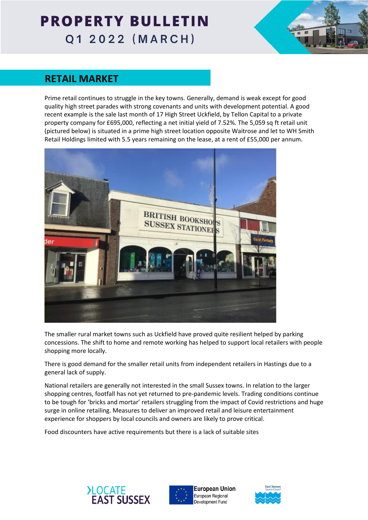

### **RETAIL MARKET**

Prime retail continues to struggle in the key towns. Generally, demand is weak except for good quality high street parades with strong covenants and units with development potential. A good recent example is the sale last month of 17 High Street Uckfield, by Tellon Capital to a private property company for £695,000, reflecting a net initial yield of 7.52%. The 5,059 sq ft retail unit (pictured below) is situated in a prime high street location opposite Waitrose and let to WH Smith Retail Holdings limited with 5.5 years remaining on the lease, at a rent of £55,000 per annum.



The smaller rural market towns such as Uckfield have proved quite resilient helped by parking concessions. The shift to home and remote working has helped to support local retailers with people shopping more locally.

There is good demand for the smaller retail units from independent retailers in Hastings due to a general lack of supply.

National retailers are generally not interested in the small Sussex towns. In relation to the larger shopping centres, footfall has not yet returned to pre-pandemic levels. Trading conditions continue to be tough for 'bricks and mortar' retailers struggling from the impact of Covid restrictions and huge surge in online retailing. Measures to deliver an improved retail and leisure entertainment experience for shoppers by local councils and owners are likely to prove critical.

Food discounters have active requirements but there is a lack of suitable sites





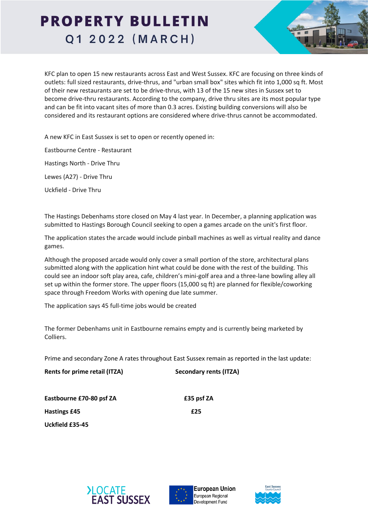KFC plan to open 15 new restaurants across East and West Sussex. KFC are focusing on three kinds of outlets: full sized restaurants, drive-thrus, and "urban small box" sites which fit into 1,000 sq ft. Most of their new restaurants are set to be drive-thrus, with 13 of the 15 new sites in Sussex set to become drive-thru restaurants. According to the company, drive thru sites are its most popular type and can be fit into vacant sites of more than 0.3 acres. Existing building conversions will also be considered and its restaurant options are considered where drive-thrus cannot be accommodated.

A new KFC in East Sussex is set to open or recently opened in:

Eastbourne Centre - Restaurant

Hastings North - Drive Thru

Lewes (A27) - Drive Thru

Uckfield - Drive Thru

The Hastings Debenhams store closed on May 4 last year. In December, a planning application was submitted to Hastings Borough Council seeking to open a games arcade on the unit's first floor.

The application states the arcade would include pinball machines as well as virtual reality and dance games.

Although the proposed arcade would only cover a small portion of the store, architectural plans submitted along with the application hint what could be done with the rest of the building. This could see an indoor soft play area, cafe, children's mini-golf area and a three-lane bowling alley all set up within the former store. The upper floors (15,000 sq ft) are planned for flexible/coworking space through Freedom Works with opening due late summer.

The application says 45 full-time jobs would be created

The former Debenhams unit in Eastbourne remains empty and is currently being marketed by Colliers.

Prime and secondary Zone A rates throughout East Sussex remain as reported in the last update:

**Rents for prime retail (ITZA) Secondary rents (ITZA)**

Eastbourne £70-80 psf ZA **Eastbourne £70-80 psf** ZA **Hastings £45 £25 Uckfield £35-45**